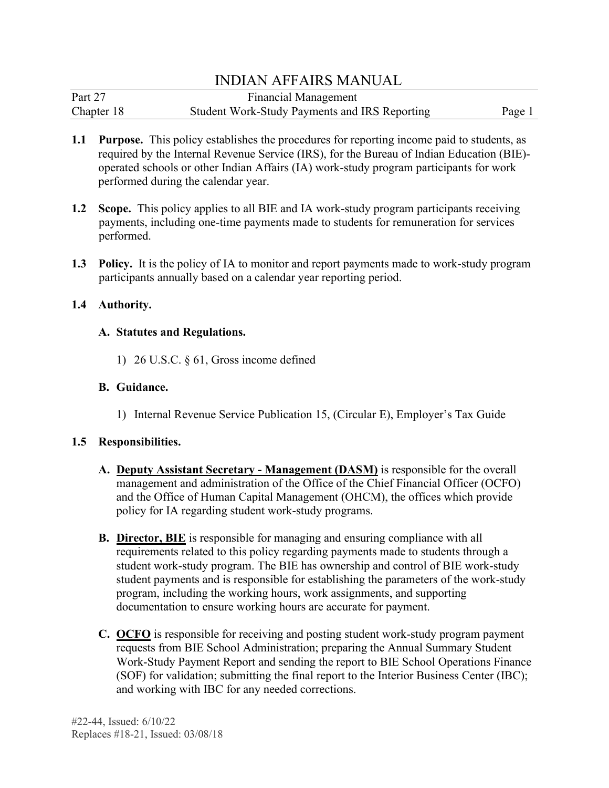| Part 27    | <b>Financial Management</b>                   |        |
|------------|-----------------------------------------------|--------|
| Chapter 18 | Student Work-Study Payments and IRS Reporting | Page 1 |

- performed during the calendar year. **1.1 Purpose.** This policy establishes the procedures for reporting income paid to students, as required by the Internal Revenue Service (IRS), for the Bureau of Indian Education (BIE) operated schools or other Indian Affairs (IA) work-study program participants for work
- **1.2 Scope.** This policy applies to all BIE and IA work-study program participants receiving payments, including one-time payments made to students for remuneration for services performed.
- **1.3 Policy.** It is the policy of IA to monitor and report payments made to work-study program participants annually based on a calendar year reporting period.

#### **1.4 Authority.**

#### **A. Statutes and Regulations.**

1) 26 U.S.C. § 61, Gross income defined

# **B. Guidance.**

1) Internal Revenue Service Publication 15, (Circular E), Employer's Tax Guide

# **1.5 Responsibilities.**

- **A. Deputy Assistant Secretary - Management (DASM)** is responsible for the overall management and administration of the Office of the Chief Financial Officer (OCFO) and the Office of Human Capital Management (OHCM), the offices which provide policy for IA regarding student work-study programs.
- **B. Director, BIE** is responsible for managing and ensuring compliance with all requirements related to this policy regarding payments made to students through a student work-study program. The BIE has ownership and control of BIE work-study student payments and is responsible for establishing the parameters of the work-study program, including the working hours, work assignments, and supporting documentation to ensure working hours are accurate for payment.
- **C. OCFO** is responsible for receiving and posting student work-study program payment requests from BIE School Administration; preparing the Annual Summary Student Work-Study Payment Report and sending the report to BIE School Operations Finance (SOF) for validation; submitting the final report to the Interior Business Center (IBC); and working with IBC for any needed corrections.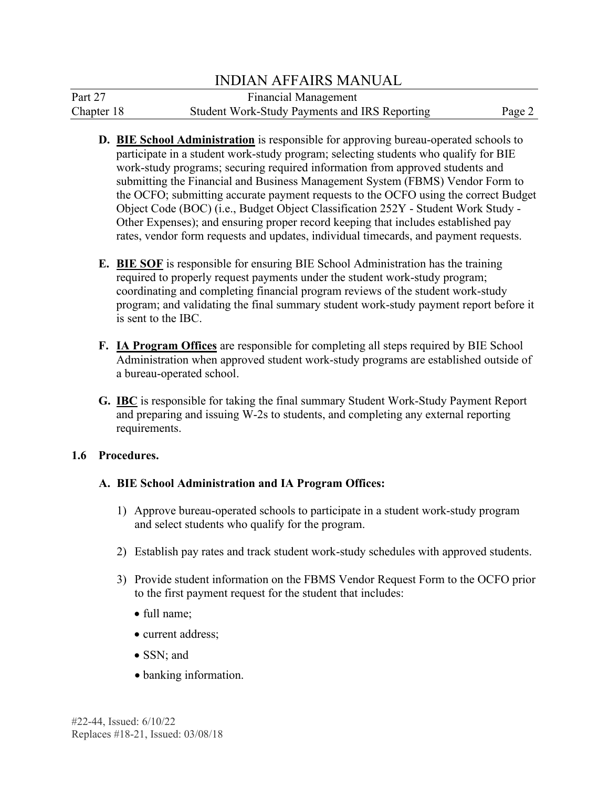| Part 27    | <b>Financial Management</b>                   |        |
|------------|-----------------------------------------------|--------|
| Chapter 18 | Student Work-Study Payments and IRS Reporting | Page 2 |

- **D. BIE School Administration** is responsible for approving bureau-operated schools to participate in a student work-study program; selecting students who qualify for BIE work-study programs; securing required information from approved students and submitting the Financial and Business Management System (FBMS) Vendor Form to the OCFO; submitting accurate payment requests to the OCFO using the correct Budget Object Code (BOC) (i.e., Budget Object Classification 252Y - Student Work Study - Other Expenses); and ensuring proper record keeping that includes established pay rates, vendor form requests and updates, individual timecards, and payment requests.
- **E. BIE SOF** is responsible for ensuring BIE School Administration has the training required to properly request payments under the student work-study program; coordinating and completing financial program reviews of the student work-study program; and validating the final summary student work-study payment report before it is sent to the IBC.
- **F. IA Program Offices** are responsible for completing all steps required by BIE School Administration when approved student work-study programs are established outside of a bureau-operated school.
- **G. IBC** is responsible for taking the final summary Student Work-Study Payment Report and preparing and issuing W-2s to students, and completing any external reporting requirements.

# 1.6 Procedures.

# **1.6 BIE School Administration and IA Program Offices:**

- 1) Approve bureau-operated schools to participate in a student work-study program and select students who qualify for the program.
- 2) Establish pay rates and track student work-study schedules with approved students.
- 3) Provide student information on the FBMS Vendor Request Form to the OCFO prior to the first payment request for the student that includes:
	- full name;
	- current address;
	- SSN: and
	- banking information.

#22-44, Issued: 6/10/22 Replaces #18-21, Issued: 03/08/18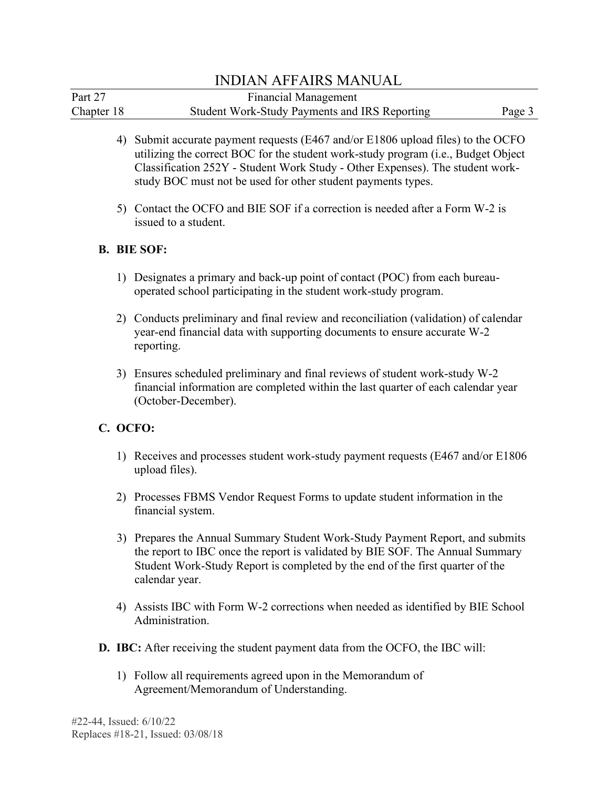| Part 27    | <b>Financial Management</b>                   |        |
|------------|-----------------------------------------------|--------|
| Chapter 18 | Student Work-Study Payments and IRS Reporting | Page 3 |

- 4) Submit accurate payment requests (E467 and/or E1806 upload files) to the OCFO utilizing the correct BOC for the student work-study program (i.e., Budget Object Classification 252Y - Student Work Study - Other Expenses). The student workstudy BOC must not be used for other student payments types.
- 5) Contact the OCFO and BIE SOF if a correction is needed after a Form W-2 is issued to a student.

#### **B. BIE SOF:**

- 1) Designates a primary and back-up point of contact (POC) from each bureauoperated school participating in the student work-study program.
- 2) Conducts preliminary and final review and reconciliation (validation) of calendar year-end financial data with supporting documents to ensure accurate W-2 reporting.
- 3) Ensures scheduled preliminary and final reviews of student work-study W-2 financial information are completed within the last quarter of each calendar year (October-December).

# **C. OCFO:**

- 1) Receives and processes student work-study payment requests (E467 and/or E1806 upload files).
- 2) Processes FBMS Vendor Request Forms to update student information in the financial system.
- 3) Prepares the Annual Summary Student Work-Study Payment Report, and submits the report to IBC once the report is validated by BIE SOF. The Annual Summary Student Work-Study Report is completed by the end of the first quarter of the calendar year.
- 4) Assists IBC with Form W-2 corrections when needed as identified by BIE School Administration.
- **D. IBC:** After receiving the student payment data from the OCFO, the IBC will:
	- 1) Follow all requirements agreed upon in the Memorandum of Agreement/Memorandum of Understanding.

#22-44, Issued: 6/10/22 Replaces #18-21, Issued: 03/08/18